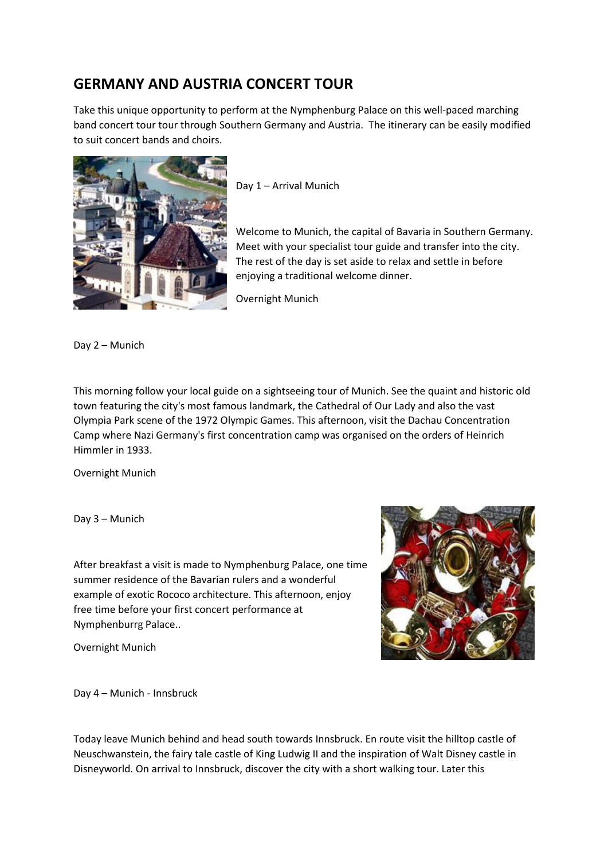## **GERMANY AND AUSTRIA CONCERT TOUR**

Take this unique opportunity to perform at the Nymphenburg Palace on this well-paced marching band concert tour tour through Southern Germany and Austria. The itinerary can be easily modified to suit concert bands and choirs.



Day 1 – Arrival Munich

Welcome to Munich, the capital of Bavaria in Southern Germany. Meet with your specialist tour guide and transfer into the city. The rest of the day is set aside to relax and settle in before enjoying a traditional welcome dinner.

Overnight Munich

Day 2 – Munich

This morning follow your local guide on a sightseeing tour of Munich. See the quaint and historic old town featuring the city's most famous landmark, the Cathedral of Our Lady and also the vast Olympia Park scene of the 1972 Olympic Games. This afternoon, visit the Dachau Concentration Camp where Nazi Germany's first concentration camp was organised on the orders of Heinrich Himmler in 1933.

Overnight Munich

Day 3 – Munich

After breakfast a visit is made to Nymphenburg Palace, one time summer residence of the Bavarian rulers and a wonderful example of exotic Rococo architecture. This afternoon, enjoy free time before your first concert performance at Nymphenburrg Palace..

Overnight Munich



Day 4 – Munich - Innsbruck

Today leave Munich behind and head south towards Innsbruck. En route visit the hilltop castle of Neuschwanstein, the fairy tale castle of King Ludwig II and the inspiration of Walt Disney castle in Disneyworld. On arrival to Innsbruck, discover the city with a short walking tour. Later this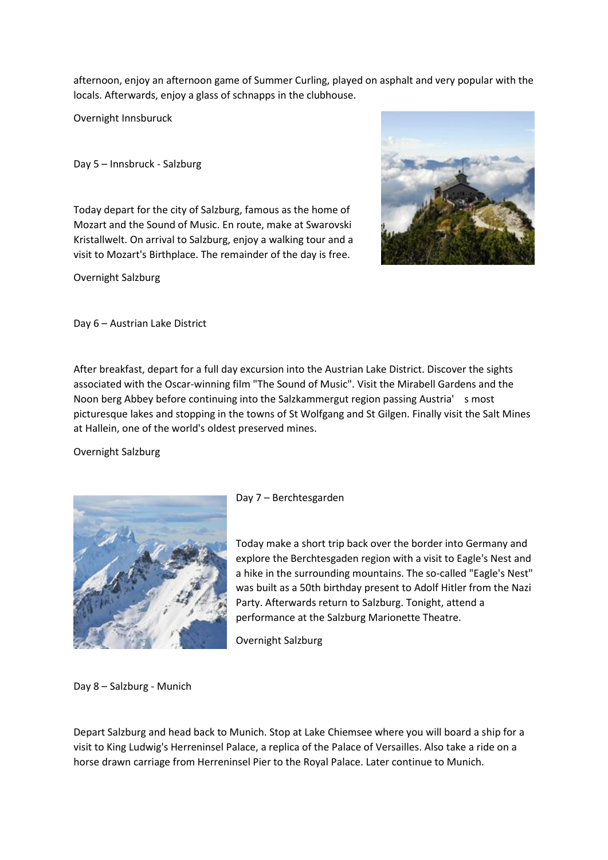afternoon, enjoy an afternoon game of Summer Curling, played on asphalt and very popular with the locals. Afterwards, enjoy a glass of schnapps in the clubhouse.

Overnight Innsburuck

Day 5 – Innsbruck - Salzburg

Today depart for the city of Salzburg, famous as the home of Mozart and the Sound of Music. En route, make at Swarovski Kristallwelt. On arrival to Salzburg, enjoy a walking tour and a visit to Mozart's Birthplace. The remainder of the day is free.

Overnight Salzburg



Day 6 – Austrian Lake District

After breakfast, depart for a full day excursion into the Austrian Lake District. Discover the sights associated with the Oscar-winning film "The Sound of Music". Visit the Mirabell Gardens and the Noon berg Abbey before continuing into the Salzkammergut region passing Austria' s most picturesque lakes and stopping in the towns of St Wolfgang and St Gilgen. Finally visit the Salt Mines at Hallein, one of the world's oldest preserved mines.

Overnight Salzburg



Day 7 – Berchtesgarden

Today make a short trip back over the border into Germany and explore the Berchtesgaden region with a visit to Eagle's Nest and a hike in the surrounding mountains. The so-called "Eagle's Nest" was built as a 50th birthday present to Adolf Hitler from the Nazi Party. Afterwards return to Salzburg. Tonight, attend a performance at the Salzburg Marionette Theatre.

Overnight Salzburg

Day 8 – Salzburg - Munich

Depart Salzburg and head back to Munich. Stop at Lake Chiemsee where you will board a ship for a visit to King Ludwig's Herreninsel Palace, a replica of the Palace of Versailles. Also take a ride on a horse drawn carriage from Herreninsel Pier to the Royal Palace. Later continue to Munich.